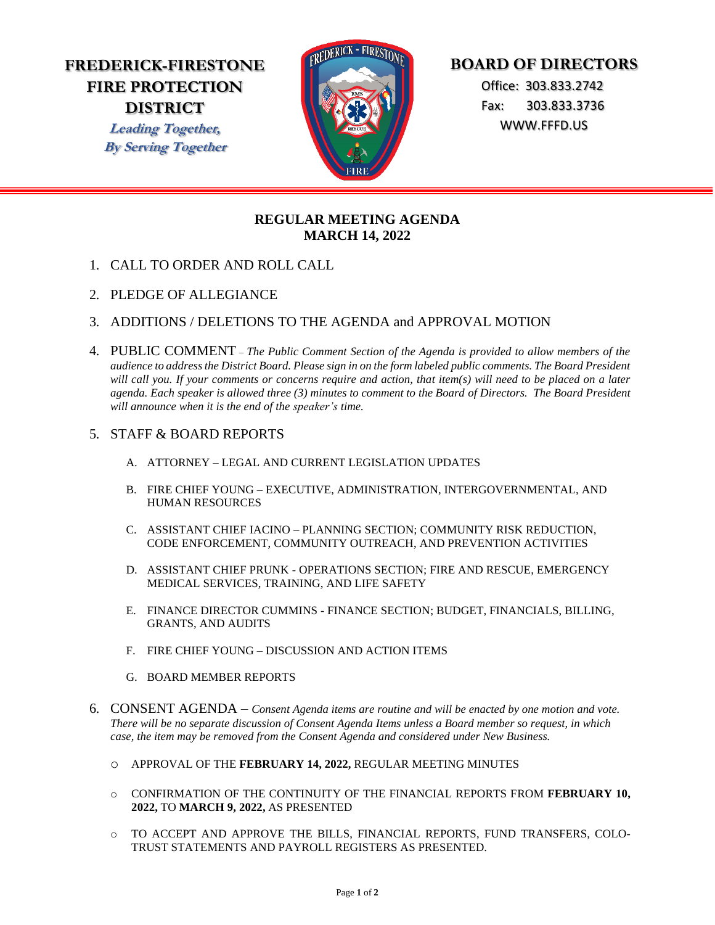# **FREDERICK-FIRESTONE FIRE PROTECTION DISTRICT**

**Leading Together, By Serving Together**



# **BOARD OF DIRECTORS**

 Office: 303.833.2742 Fax: 303.833.3736 WWW.FFFD.US

## **REGULAR MEETING AGENDA MARCH 14, 2022**

- 1. CALL TO ORDER AND ROLL CALL
- 2. PLEDGE OF ALLEGIANCE
- 3. ADDITIONS / DELETIONS TO THE AGENDA and APPROVAL MOTION
- 4. PUBLIC COMMENT *The Public Comment Section of the Agenda is provided to allow members of the audience to address the District Board. Please sign in on the form labeled public comments. The Board President will call you. If your comments or concerns require and action, that item(s) will need to be placed on a later agenda. Each speaker is allowed three (3) minutes to comment to the Board of Directors. The Board President will announce when it is the end of the speaker's time.*

### 5. STAFF & BOARD REPORTS

- A. ATTORNEY LEGAL AND CURRENT LEGISLATION UPDATES
- B. FIRE CHIEF YOUNG EXECUTIVE, ADMINISTRATION, INTERGOVERNMENTAL, AND HUMAN RESOURCES
- C. ASSISTANT CHIEF IACINO PLANNING SECTION; COMMUNITY RISK REDUCTION, CODE ENFORCEMENT, COMMUNITY OUTREACH, AND PREVENTION ACTIVITIES
- D. ASSISTANT CHIEF PRUNK OPERATIONS SECTION; FIRE AND RESCUE, EMERGENCY MEDICAL SERVICES, TRAINING, AND LIFE SAFETY
- E. FINANCE DIRECTOR CUMMINS FINANCE SECTION; BUDGET, FINANCIALS, BILLING, GRANTS, AND AUDITS
- F. FIRE CHIEF YOUNG DISCUSSION AND ACTION ITEMS
- G. BOARD MEMBER REPORTS
- 6. CONSENT AGENDA *Consent Agenda items are routine and will be enacted by one motion and vote. There will be no separate discussion of Consent Agenda Items unless a Board member so request, in which case, the item may be removed from the Consent Agenda and considered under New Business.* 
	- o APPROVAL OF THE **FEBRUARY 14, 2022,** REGULAR MEETING MINUTES
	- o CONFIRMATION OF THE CONTINUITY OF THE FINANCIAL REPORTS FROM **FEBRUARY 10, 2022,** TO **MARCH 9, 2022,** AS PRESENTED
	- o TO ACCEPT AND APPROVE THE BILLS, FINANCIAL REPORTS, FUND TRANSFERS, COLO-TRUST STATEMENTS AND PAYROLL REGISTERS AS PRESENTED.